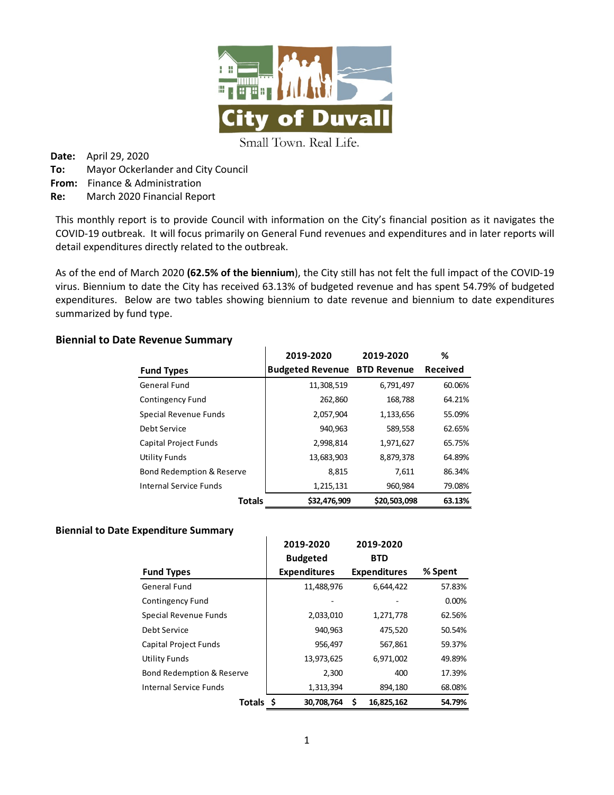

Small Town. Real Life.

**Date:** April 29, 2020 **To:** Mayor Ockerlander and City Council **From:** Finance & Administration **Re:** March 2020 Financial Report

This monthly report is to provide Council with information on the City's financial position as it navigates the COVID-19 outbreak. It will focus primarily on General Fund revenues and expenditures and in later reports will detail expenditures directly related to the outbreak.

As of the end of March 2020 **(62.5% of the biennium**), the City still has not felt the full impact of the COVID-19 virus. Biennium to date the City has received 63.13% of budgeted revenue and has spent 54.79% of budgeted expenditures. Below are two tables showing biennium to date revenue and biennium to date expenditures summarized by fund type.

## **Biennial to Date Revenue Summary**

|                               | 2019-2020                           | 2019-2020    | ℅               |
|-------------------------------|-------------------------------------|--------------|-----------------|
| <b>Fund Types</b>             | <b>Budgeted Revenue BTD Revenue</b> |              | <b>Received</b> |
| General Fund                  | 11,308,519                          | 6,791,497    | 60.06%          |
| <b>Contingency Fund</b>       | 262,860                             | 168,788      | 64.21%          |
| Special Revenue Funds         | 2,057,904                           | 1,133,656    | 55.09%          |
| Debt Service                  | 940,963                             | 589,558      | 62.65%          |
| Capital Project Funds         | 2,998,814                           | 1,971,627    | 65.75%          |
| Utility Funds                 | 13,683,903                          | 8,879,378    | 64.89%          |
| Bond Redemption & Reserve     | 8,815                               | 7,611        | 86.34%          |
| <b>Internal Service Funds</b> | 1,215,131                           | 960,984      | 79.08%          |
| <b>Totals</b>                 | \$32.476.909                        | \$20,503,098 | 63.13%          |

### **Biennial to Date Expenditure Summary**

|                              | 2019-2020           | 2019-2020           |         |
|------------------------------|---------------------|---------------------|---------|
|                              | <b>Budgeted</b>     | <b>BTD</b>          |         |
| <b>Fund Types</b>            | <b>Expenditures</b> | <b>Expenditures</b> | % Spent |
| <b>General Fund</b>          | 11,488,976          | 6,644,422           | 57.83%  |
| Contingency Fund             |                     |                     | 0.00%   |
| Special Revenue Funds        | 2,033,010           | 1,271,778           | 62.56%  |
| Debt Service                 | 940,963             | 475,520             | 50.54%  |
| <b>Capital Project Funds</b> | 956,497             | 567,861             | 59.37%  |
| <b>Utility Funds</b>         | 13,973,625          | 6,971,002           | 49.89%  |
| Bond Redemption & Reserve    | 2,300               | 400                 | 17.39%  |
| Internal Service Funds       | 1,313,394           | 894,180             | 68.08%  |
| Totals \$                    | 30.708.764          | Ś<br>16.825.162     | 54.79%  |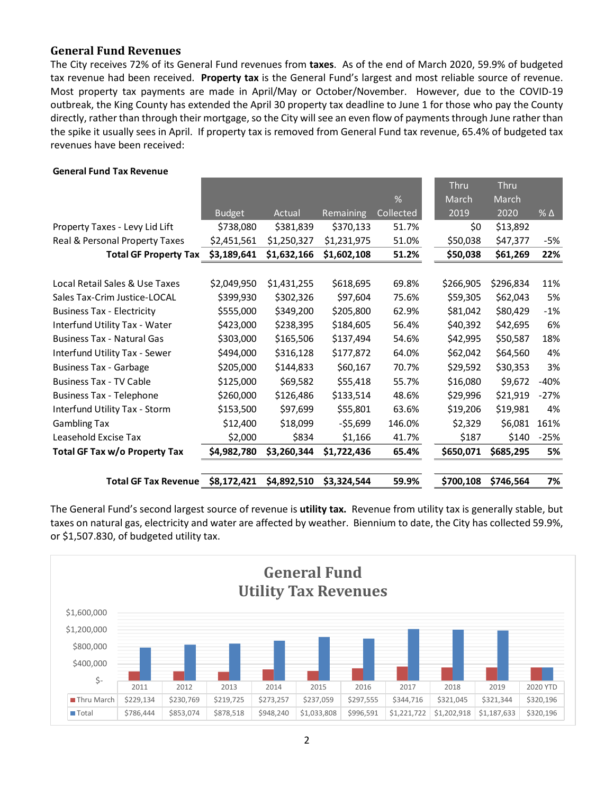## **General Fund Revenues**

The City receives 72% of its General Fund revenues from **taxes**. As of the end of March 2020, 59.9% of budgeted tax revenue had been received. **Property tax** is the General Fund's largest and most reliable source of revenue. Most property tax payments are made in April/May or October/November. However, due to the COVID-19 outbreak, the King County has extended the April 30 property tax deadline to June 1 for those who pay the County directly, rather than through their mortgage, so the City will see an even flow of payments through June rather than the spike it usually sees in April. If property tax is removed from General Fund tax revenue, 65.4% of budgeted tax revenues have been received:

#### **General Fund Tax Revenue**

| <b>Total GF Tax Revenue</b>       | \$8,172,421   | \$4,892,510 | \$3,324,544 | 59.9%     | \$700,108 | \$746,564 | 7%           |
|-----------------------------------|---------------|-------------|-------------|-----------|-----------|-----------|--------------|
|                                   |               |             |             |           |           |           |              |
| Total GF Tax w/o Property Tax     | \$4,982,780   | \$3,260,344 | \$1,722,436 | 65.4%     | \$650,071 | \$685,295 | 5%           |
| Leasehold Excise Tax              | \$2,000       | \$834       | \$1,166     | 41.7%     | \$187     | \$140     | $-25%$       |
| <b>Gambling Tax</b>               | \$12,400      | \$18,099    | $-55,699$   | 146.0%    | \$2,329   | \$6,081   | 161%         |
| Interfund Utility Tax - Storm     | \$153,500     | \$97,699    | \$55,801    | 63.6%     | \$19,206  | \$19,981  | 4%           |
| <b>Business Tax - Telephone</b>   | \$260,000     | \$126,486   | \$133,514   | 48.6%     | \$29,996  | \$21,919  | $-27%$       |
| <b>Business Tax - TV Cable</b>    | \$125,000     | \$69,582    | \$55,418    | 55.7%     | \$16,080  | \$9,672   | $-40%$       |
| <b>Business Tax - Garbage</b>     | \$205,000     | \$144,833   | \$60,167    | 70.7%     | \$29,592  | \$30,353  | 3%           |
| Interfund Utility Tax - Sewer     | \$494,000     | \$316,128   | \$177,872   | 64.0%     | \$62,042  | \$64,560  | 4%           |
| <b>Business Tax - Natural Gas</b> | \$303,000     | \$165,506   | \$137,494   | 54.6%     | \$42,995  | \$50,587  | 18%          |
| Interfund Utility Tax - Water     | \$423,000     | \$238,395   | \$184,605   | 56.4%     | \$40,392  | \$42,695  | 6%           |
| <b>Business Tax - Electricity</b> | \$555,000     | \$349,200   | \$205,800   | 62.9%     | \$81,042  | \$80,429  | $-1%$        |
| Sales Tax-Crim Justice-LOCAL      | \$399,930     | \$302,326   | \$97,604    | 75.6%     | \$59,305  | \$62,043  | 5%           |
| Local Retail Sales & Use Taxes    | \$2,049,950   | \$1,431,255 | \$618,695   | 69.8%     | \$266,905 | \$296,834 | 11%          |
| <b>Total GF Property Tax</b>      | \$3,189,641   | \$1,632,166 | \$1,602,108 | 51.2%     | \$50,038  | \$61,269  | 22%          |
| Real & Personal Property Taxes    | \$2,451,561   | \$1,250,327 | \$1,231,975 | 51.0%     | \$50,038  | \$47,377  | -5%          |
| Property Taxes - Levy Lid Lift    | \$738,080     | \$381,839   | \$370,133   | 51.7%     | \$0       | \$13,892  |              |
|                                   | <b>Budget</b> | Actual      | Remaining   | Collected | 2019      | 2020      | $%$ $\Delta$ |
|                                   |               |             |             | %         | March     | March     |              |
|                                   |               |             |             |           | Thru      | Thru      |              |

The General Fund's second largest source of revenue is **utility tax.** Revenue from utility tax is generally stable, but taxes on natural gas, electricity and water are affected by weather. Biennium to date, the City has collected 59.9%, or \$1,507.830, of budgeted utility tax.

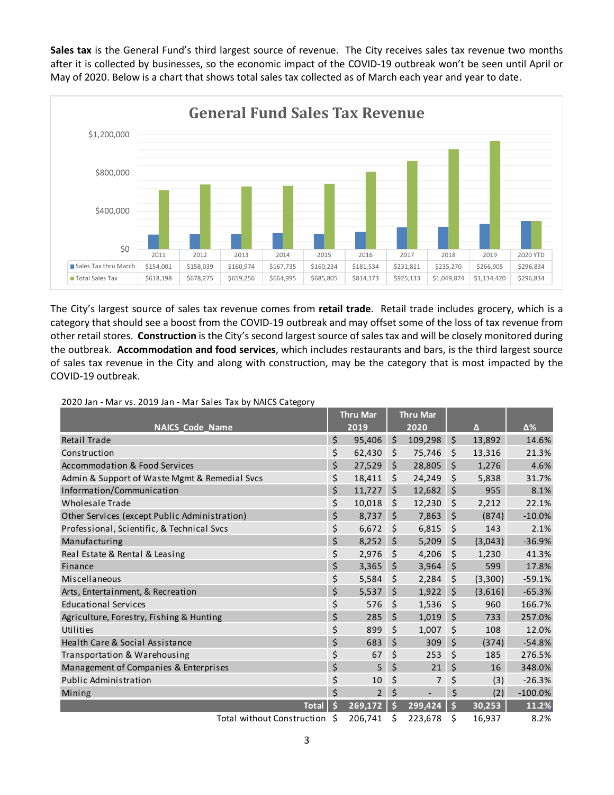**Sales tax** is the General Fund's third largest source of revenue. The City receives sales tax revenue two months after it is collected by businesses, so the economic impact of the COVID-19 outbreak won't be seen until April or May of 2020. Below is a chart that shows total sales tax collected as of March each year and year to date.



The City's largest source of sales tax revenue comes from **retail trade**. Retail trade includes grocery, which is a category that should see a boost from the COVID-19 outbreak and may offset some of the loss of tax revenue from other retail stores. **Construction** is the City's second largest source of sales tax and will be closely monitored during the outbreak. **Accommodation and food services**, which includes restaurants and bars, is the third largest source of sales tax revenue in the City and along with construction, may be the category that is most impacted by the COVID-19 outbreak.

|                                               |    | <b>Thru Mar</b> |         | <b>Thru Mar</b>      |                    |         |           |
|-----------------------------------------------|----|-----------------|---------|----------------------|--------------------|---------|-----------|
| <b>NAICS Code Name</b>                        |    | 2019            |         | $\overline{2020}$    |                    | Δ       | Δ%        |
| Retail Trade                                  | \$ | 95,406          | $\zeta$ | 109,298              | $\zeta$            | 13,892  | 14.6%     |
| Construction                                  | \$ | 62,430          | \$      | 75,746               | $\zeta$            | 13,316  | 21.3%     |
| <b>Accommodation &amp; Food Services</b>      | \$ | 27,529          | \$      | 28,805               | \$                 | 1,276   | 4.6%      |
| Admin & Support of Waste Mgmt & Remedial Svcs | \$ | 18,411          | \$      | 24,249               | \$                 | 5,838   | 31.7%     |
| Information/Communication                     | \$ | 11,727          | \$      | 12,682               | $\zeta$            | 955     | 8.1%      |
| <b>Wholesale Trade</b>                        | \$ | 10,018          | \$      | 12,230               | $\zeta$            | 2,212   | 22.1%     |
| Other Services (except Public Administration) | \$ | 8,737           | \$      | 7,863                | \$                 | (874)   | $-10.0%$  |
| Professional, Scientific, & Technical Svcs    | \$ | 6,672           | \$      | 6,815                | \$                 | 143     | 2.1%      |
| Manufacturing                                 | \$ | 8,252           | \$      | 5,209                | \$                 | (3,043) | $-36.9%$  |
| Real Estate & Rental & Leasing                | \$ | 2,976           | \$      | 4,206                | \$                 | 1,230   | 41.3%     |
| Finance                                       | \$ | 3,365           | Ś       | 3,964                | \$                 | 599     | 17.8%     |
| Miscellaneous                                 | \$ | 5,584           | \$      | 2,284                | \$                 | (3,300) | $-59.1%$  |
| Arts, Entertainment, & Recreation             | \$ | 5,537           | \$      | 1,922                | $\zeta$            | (3,616) | $-65.3%$  |
| <b>Educational Services</b>                   | \$ | 576             | \$      | 1,536                | $\zeta$            | 960     | 166.7%    |
| Agriculture, Forestry, Fishing & Hunting      | \$ | 285             | \$      | 1,019                | $\zeta$            | 733     | 257.0%    |
| Utilities                                     | \$ | 899             | \$      | 1,007                | \$                 | 108     | 12.0%     |
| Health Care & Social Assistance               | \$ | 683             | \$      | 309                  | \$                 | (374)   | $-54.8%$  |
| Transportation & Warehousing                  | \$ | 67              | \$      | 253                  | \$                 | 185     | 276.5%    |
| Management of Companies & Enterprises         | \$ | 5               | \$      | 21                   | \$                 | 16      | 348.0%    |
| Public Administration                         | \$ | 10              | \$      | 7                    | \$                 | (3)     | $-26.3%$  |
| Mining                                        | \$ | $\overline{2}$  | \$      | $\overline{a}$       | \$                 | (2)     | $-100.0%$ |
| <b>Total</b>                                  | Ś  | 269,172         | Ś       | $\overline{299,}424$ | $\mathsf{\hat{S}}$ | 30,253  | 11.2%     |
| Total without Construction \$                 |    | 206,741         | Ś       | 223,678              | \$                 | 16,937  | 8.2%      |

#### 2020 Jan - Mar vs. 2019 Jan - Mar Sales Tax by NAICS Category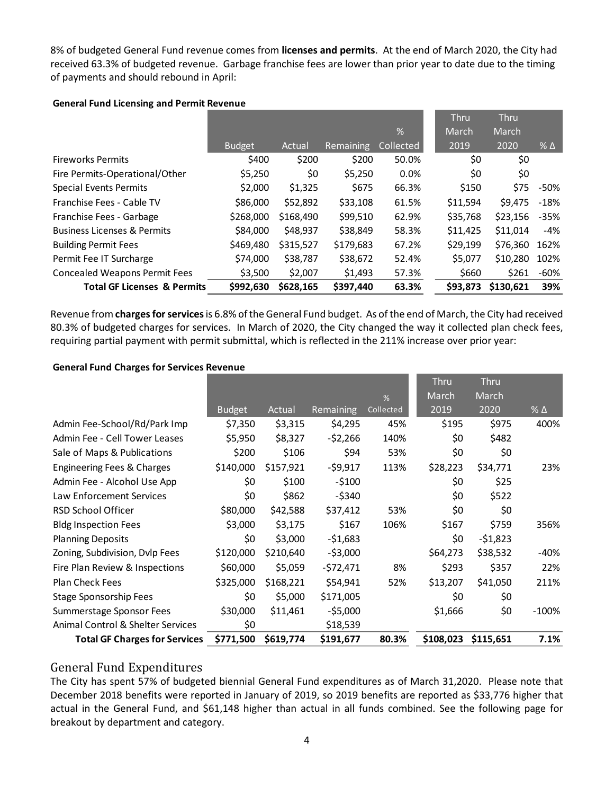8% of budgeted General Fund revenue comes from **licenses and permits**. At the end of March 2020, the City had received 63.3% of budgeted revenue. Garbage franchise fees are lower than prior year to date due to the timing of payments and should rebound in April:

| <b>General Fund Licensing and Permit Revenue</b> |  |
|--------------------------------------------------|--|
|--------------------------------------------------|--|

|                                        |               |           |                  |           | <b>Thru</b> | <b>Thru</b> |              |
|----------------------------------------|---------------|-----------|------------------|-----------|-------------|-------------|--------------|
|                                        |               |           |                  | %         | March       | March       |              |
|                                        | <b>Budget</b> | Actual    | <b>Remaining</b> | Collected | 2019        | 2020        | $%$ $\Delta$ |
| <b>Fireworks Permits</b>               | \$400         | \$200     | \$200            | 50.0%     | \$0         | \$0         |              |
| Fire Permits-Operational/Other         | \$5,250       | \$0       | \$5,250          | 0.0%      | \$0         | \$0         |              |
| <b>Special Events Permits</b>          | \$2,000       | \$1,325   | \$675            | 66.3%     | \$150       | \$75        | -50%         |
| Franchise Fees - Cable TV              | \$86,000      | \$52,892  | \$33,108         | 61.5%     | \$11,594    | \$9.475     | $-18%$       |
| Franchise Fees - Garbage               | \$268,000     | \$168,490 | \$99,510         | 62.9%     | \$35,768    | \$23,156    | $-35%$       |
| <b>Business Licenses &amp; Permits</b> | \$84,000      | \$48,937  | \$38,849         | 58.3%     | \$11,425    | \$11.014    | $-4%$        |
| <b>Building Permit Fees</b>            | \$469,480     | \$315,527 | \$179,683        | 67.2%     | \$29,199    | \$76.360    | 162%         |
| Permit Fee IT Surcharge                | \$74,000      | \$38,787  | \$38,672         | 52.4%     | \$5,077     | \$10,280    | 102%         |
| <b>Concealed Weapons Permit Fees</b>   | \$3,500       | \$2,007   | \$1,493          | 57.3%     | \$660       | \$261       | -60%         |
| <b>Total GF Licenses &amp; Permits</b> | \$992,630     | \$628,165 | \$397,440        | 63.3%     | \$93,873    | \$130,621   | 39%          |

Revenue from **charges for services**is 6.8% of the General Fund budget. As of the end of March, the City had received 80.3% of budgeted charges for services. In March of 2020, the City changed the way it collected plan check fees, requiring partial payment with permit submittal, which is reflected in the 211% increase over prior year:

#### **General Fund Charges for Services Revenue**

|                                      |               |           |             |           | Thru      | <b>Thru</b> |               |
|--------------------------------------|---------------|-----------|-------------|-----------|-----------|-------------|---------------|
|                                      |               |           |             | %         | March     | March       |               |
|                                      | <b>Budget</b> | Actual    | Remaining   | Collected | 2019      | 2020        | $\%$ $\Delta$ |
| Admin Fee-School/Rd/Park Imp         | \$7,350       | \$3,315   | \$4,295     | 45%       | \$195     | \$975       | 400%          |
| Admin Fee - Cell Tower Leases        | \$5,950       | \$8,327   | $-52,266$   | 140%      | \$0       | \$482       |               |
| Sale of Maps & Publications          | \$200         | \$106     | \$94        | 53%       | \$0       | \$0         |               |
| Engineering Fees & Charges           | \$140,000     | \$157,921 | $-59,917$   | 113%      | \$28,223  | \$34,771    | 23%           |
| Admin Fee - Alcohol Use App          | \$0           | \$100     | $-5100$     |           | \$0       | \$25        |               |
| Law Enforcement Services             | \$0           | \$862     | $-$ \$340   |           | \$0       | \$522       |               |
| <b>RSD School Officer</b>            | \$80,000      | \$42,588  | \$37,412    | 53%       | \$0       | \$0         |               |
| <b>Bldg Inspection Fees</b>          | \$3,000       | \$3,175   | \$167       | 106%      | \$167     | \$759       | 356%          |
| <b>Planning Deposits</b>             | \$0           | \$3,000   | $-51,683$   |           | \$0       | $-51,823$   |               |
| Zoning, Subdivision, Dvlp Fees       | \$120,000     | \$210,640 | $-$ \$3,000 |           | \$64,273  | \$38,532    | -40%          |
| Fire Plan Review & Inspections       | \$60,000      | \$5,059   | -\$72,471   | 8%        | \$293     | \$357       | 22%           |
| <b>Plan Check Fees</b>               | \$325,000     | \$168,221 | \$54,941    | 52%       | \$13,207  | \$41,050    | 211%          |
| Stage Sponsorship Fees               | \$0           | \$5,000   | \$171,005   |           | \$0       | \$0         |               |
| Summerstage Sponsor Fees             | \$30,000      | \$11,461  | -\$5,000    |           | \$1,666   | \$0         | $-100\%$      |
| Animal Control & Shelter Services    | \$0           |           | \$18,539    |           |           |             |               |
| <b>Total GF Charges for Services</b> | \$771,500     | \$619,774 | \$191,677   | 80.3%     | \$108,023 | \$115,651   | 7.1%          |

## General Fund Expenditures

The City has spent 57% of budgeted biennial General Fund expenditures as of March 31,2020. Please note that December 2018 benefits were reported in January of 2019, so 2019 benefits are reported as \$33,776 higher that actual in the General Fund, and \$61,148 higher than actual in all funds combined. See the following page for breakout by department and category.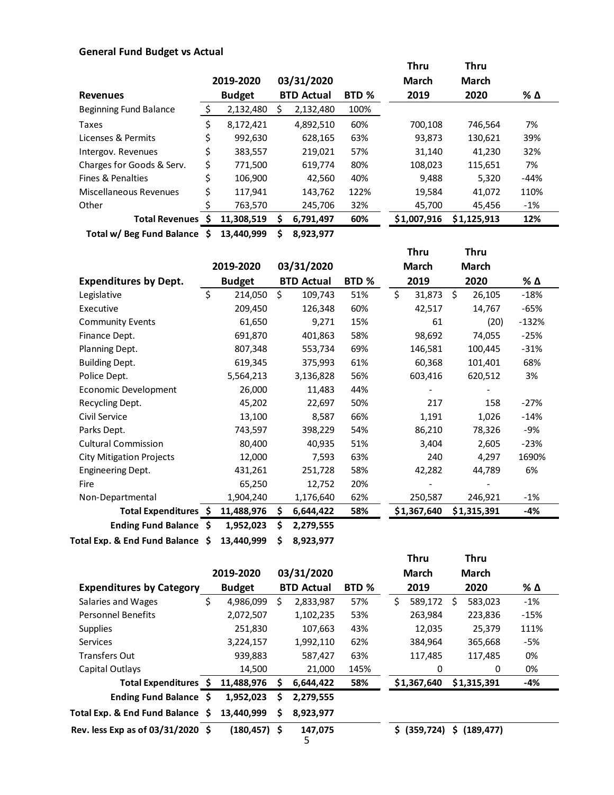## **General Fund Budget vs Actual**

|                               |                 |   |                   |       | <b>Thru</b>  | <b>Thru</b>  |        |
|-------------------------------|-----------------|---|-------------------|-------|--------------|--------------|--------|
|                               | 2019-2020       |   | 03/31/2020        |       | <b>March</b> | <b>March</b> |        |
| <b>Revenues</b>               | <b>Budget</b>   |   | <b>BTD Actual</b> | BTD % | 2019         | 2020         | % Δ    |
| <b>Beginning Fund Balance</b> | \$<br>2,132,480 | S | 2,132,480         | 100%  |              |              |        |
| Taxes                         | \$<br>8,172,421 |   | 4,892,510         | 60%   | 700,108      | 746,564      | 7%     |
| Licenses & Permits            | \$<br>992,630   |   | 628,165           | 63%   | 93,873       | 130,621      | 39%    |
| Intergov. Revenues            | \$<br>383,557   |   | 219,021           | 57%   | 31,140       | 41.230       | 32%    |
| Charges for Goods & Serv.     | \$<br>771,500   |   | 619,774           | 80%   | 108,023      | 115,651      | 7%     |
| Fines & Penalties             | \$<br>106,900   |   | 42.560            | 40%   | 9.488        | 5,320        | -44%   |
| Miscellaneous Revenues        | \$<br>117,941   |   | 143,762           | 122%  | 19,584       | 41,072       | 110%   |
| Other                         | 763,570         |   | 245,706           | 32%   | 45,700       | 45,456       | $-1\%$ |
| <b>Total Revenues</b>         | 11,308,519      |   | 6,791,497         | 60%   | \$1,007,916  | \$1,125,913  | 12%    |

**Total w/ Beg Fund Balance \$ 13,440,999 \$ 8,923,977**

|                                  |         |               |                   |       | <b>Thru</b>  | <b>Thru</b>  |         |
|----------------------------------|---------|---------------|-------------------|-------|--------------|--------------|---------|
|                                  |         | 2019-2020     | 03/31/2020        |       | <b>March</b> | <b>March</b> |         |
| <b>Expenditures by Dept.</b>     |         | <b>Budget</b> | <b>BTD Actual</b> | BTD % | 2019         | 2020         | % Δ     |
| Legislative                      | $\zeta$ | 214,050       | \$<br>109,743     | 51%   | \$<br>31,873 | \$<br>26,105 | $-18%$  |
| Executive                        |         | 209,450       | 126,348           | 60%   | 42,517       | 14,767       | $-65%$  |
| <b>Community Events</b>          |         | 61,650        | 9,271             | 15%   | 61           | (20)         | $-132%$ |
| Finance Dept.                    |         | 691,870       | 401,863           | 58%   | 98,692       | 74,055       | $-25%$  |
| Planning Dept.                   |         | 807,348       | 553,734           | 69%   | 146,581      | 100,445      | $-31%$  |
| <b>Building Dept.</b>            |         | 619,345       | 375,993           | 61%   | 60,368       | 101,401      | 68%     |
| Police Dept.                     |         | 5,564,213     | 3,136,828         | 56%   | 603,416      | 620,512      | 3%      |
| Economic Development             |         | 26,000        | 11,483            | 44%   |              |              |         |
| Recycling Dept.                  |         | 45,202        | 22,697            | 50%   | 217          | 158          | $-27%$  |
| Civil Service                    |         | 13,100        | 8,587             | 66%   | 1,191        | 1,026        | $-14%$  |
| Parks Dept.                      |         | 743,597       | 398,229           | 54%   | 86,210       | 78,326       | -9%     |
| <b>Cultural Commission</b>       |         | 80,400        | 40,935            | 51%   | 3,404        | 2,605        | $-23%$  |
| <b>City Mitigation Projects</b>  |         | 12,000        | 7,593             | 63%   | 240          | 4,297        | 1690%   |
| <b>Engineering Dept.</b>         |         | 431,261       | 251,728           | 58%   | 42,282       | 44,789       | 6%      |
| Fire                             |         | 65,250        | 12,752            | 20%   |              |              |         |
| Non-Departmental                 |         | 1,904,240     | 1,176,640         | 62%   | 250,587      | 246,921      | $-1%$   |
| Total Expenditures \$            |         | 11,488,976    | \$<br>6,644,422   | 58%   | \$1,367,640  | \$1,315,391  | -4%     |
| Ending Fund Balance \$           |         | 1,952,023     | \$<br>2,279,555   |       |              |              |         |
| Total Exp. & End Fund Balance \$ |         | 13,440,999    | \$<br>8,923,977   |       |              |              |         |

|                                   |    |                 |   |                   |       |    | <b>Thru</b>                  |    | <b>Thru</b>  |        |
|-----------------------------------|----|-----------------|---|-------------------|-------|----|------------------------------|----|--------------|--------|
|                                   |    | 2019-2020       |   | 03/31/2020        |       |    | <b>March</b>                 |    | <b>March</b> |        |
| <b>Expenditures by Category</b>   |    | <b>Budget</b>   |   | <b>BTD Actual</b> | BTD % |    | 2019                         |    | 2020         | % Δ    |
| Salaries and Wages                | \$ | 4,986,099       | Ś | 2,833,987         | 57%   | \$ | 589,172                      | S. | 583,023      | $-1%$  |
| <b>Personnel Benefits</b>         |    | 2,072,507       |   | 1,102,235         | 53%   |    | 263,984                      |    | 223,836      | $-15%$ |
| <b>Supplies</b>                   |    | 251,830         |   | 107,663           | 43%   |    | 12,035                       |    | 25,379       | 111%   |
| <b>Services</b>                   |    | 3,224,157       |   | 1,992,110         | 62%   |    | 384,964                      |    | 365,668      | -5%    |
| <b>Transfers Out</b>              |    | 939,883         |   | 587,427           | 63%   |    | 117,485                      |    | 117.485      | 0%     |
| Capital Outlays                   |    | 14,500          |   | 21,000            | 145%  |    | 0                            |    | 0            | 0%     |
| Total Expenditures \$             |    | 11,488,976      | s | 6,644,422         | 58%   |    | \$1,367,640                  |    | \$1,315,391  | -4%    |
| <b>Ending Fund Balance</b>        | S  | 1,952,023       | S | 2,279,555         |       |    |                              |    |              |        |
| Total Exp. & End Fund Balance \$  |    | 13,440,999      | S | 8,923,977         |       |    |                              |    |              |        |
| Rev. less Exp as of 03/31/2020 \$ |    | $(180, 457)$ \$ |   | 147,075<br>5      |       | S. | $(359, 724)$ \$ $(189, 477)$ |    |              |        |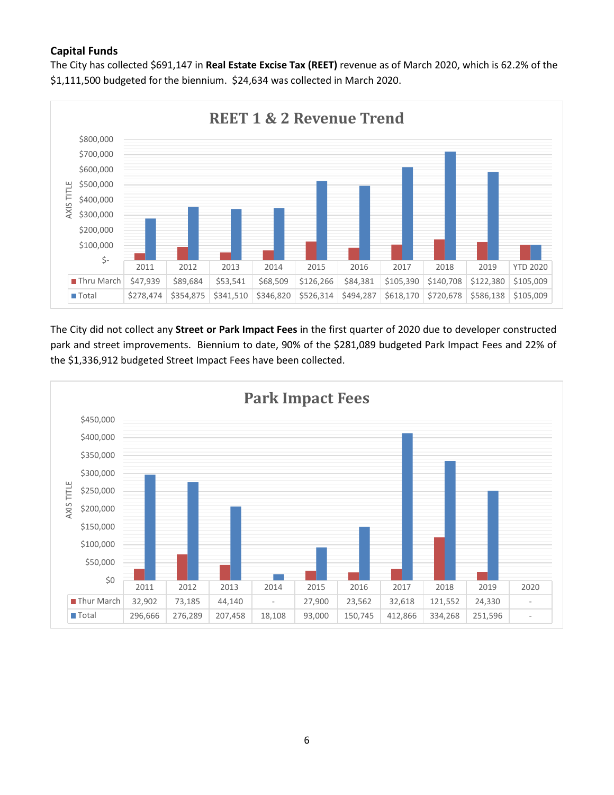## **Capital Funds**

The City has collected \$691,147 in **Real Estate Excise Tax (REET)** revenue as of March 2020, which is 62.2% of the \$1,111,500 budgeted for the biennium. \$24,634 was collected in March 2020.



The City did not collect any **Street or Park Impact Fees** in the first quarter of 2020 due to developer constructed park and street improvements. Biennium to date, 90% of the \$281,089 budgeted Park Impact Fees and 22% of the \$1,336,912 budgeted Street Impact Fees have been collected.

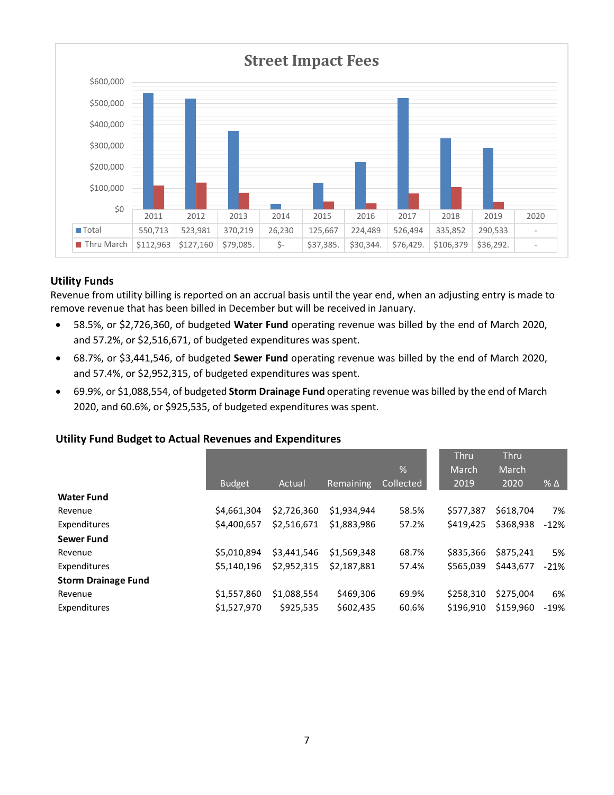

## **Utility Funds**

Revenue from utility billing is reported on an accrual basis until the year end, when an adjusting entry is made to remove revenue that has been billed in December but will be received in January.

- 58.5%, or \$2,726,360, of budgeted **Water Fund** operating revenue was billed by the end of March 2020, and 57.2%, or \$2,516,671, of budgeted expenditures was spent.
- 68.7%, or \$3,441,546, of budgeted **Sewer Fund** operating revenue was billed by the end of March 2020, and 57.4%, or \$2,952,315, of budgeted expenditures was spent.
- 69.9%, or \$1,088,554, of budgeted **Storm Drainage Fund** operating revenue was billed by the end of March 2020, and 60.6%, or \$925,535, of budgeted expenditures was spent.

### **Utility Fund Budget to Actual Revenues and Expenditures**

|                            |               |             |             |               | <b>Thru</b> | <b>Thru</b> |            |
|----------------------------|---------------|-------------|-------------|---------------|-------------|-------------|------------|
|                            |               |             |             | $\frac{1}{2}$ | March       | March       |            |
|                            | <b>Budget</b> | Actual      | Remaining   | Collected     | 2019        | 2020        | $% \Delta$ |
| <b>Water Fund</b>          |               |             |             |               |             |             |            |
| Revenue                    | \$4,661,304   | \$2.726.360 | \$1.934.944 | 58.5%         | \$577,387   | \$618.704   | 7%         |
| Expenditures               | \$4,400.657   | \$2.516.671 | \$1.883.986 | 57.2%         | \$419.425   | \$368,938   | $-12%$     |
| <b>Sewer Fund</b>          |               |             |             |               |             |             |            |
| Revenue                    | \$5.010.894   | \$3,441.546 | \$1.569.348 | 68.7%         | \$835,366   | \$875.241   | 5%         |
| Expenditures               | \$5.140.196   | \$2,952,315 | \$2.187.881 | 57.4%         | \$565.039   | \$443.677   | $-21%$     |
| <b>Storm Drainage Fund</b> |               |             |             |               |             |             |            |
| Revenue                    | \$1,557,860   | \$1,088,554 | \$469,306   | 69.9%         | \$258.310   | \$275.004   | 6%         |
| Expenditures               | \$1,527,970   | \$925.535   | \$602,435   | 60.6%         | \$196.910   | \$159.960   | $-19%$     |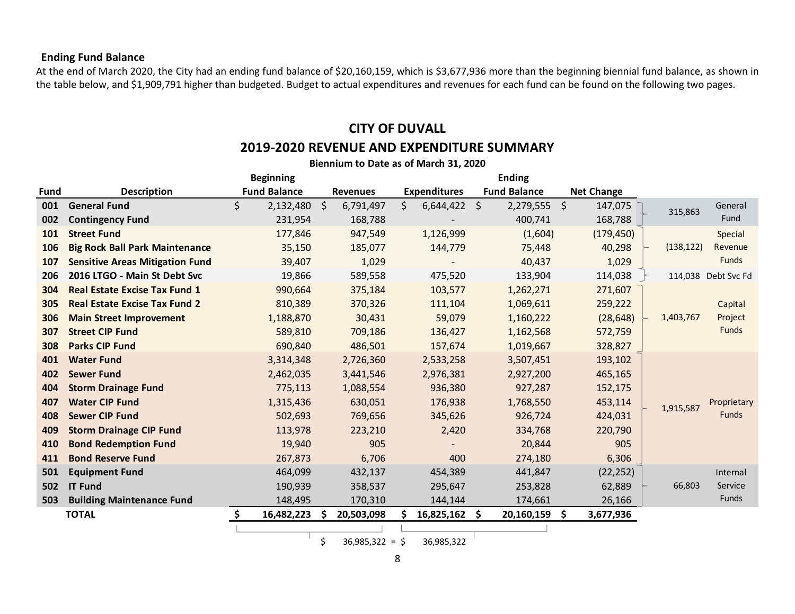## **Ending Fund Balance**

At the end of March 2020, the City had an ending fund balance of \$20,160,159, which is \$3,677,936 more than the beginning biennial fund balance, as shown in the table below, and \$1,909,791 higher than budgeted. Budget to actual expenditures and revenues for each fund can be found on the following two pages.

## **CITY OF DUVALL**

## **2019-2020 REVENUE AND EXPENDITURE SUMMARY**

|      | Biennium to Date as of March 31, 2020  |                     |                 |                       |                     |                   |            |                     |  |  |  |  |  |  |
|------|----------------------------------------|---------------------|-----------------|-----------------------|---------------------|-------------------|------------|---------------------|--|--|--|--|--|--|
|      |                                        | <b>Beginning</b>    |                 |                       | <b>Ending</b>       |                   |            |                     |  |  |  |  |  |  |
| Fund | <b>Description</b>                     | <b>Fund Balance</b> | <b>Revenues</b> | <b>Expenditures</b>   | <b>Fund Balance</b> | <b>Net Change</b> |            |                     |  |  |  |  |  |  |
| 001  | <b>General Fund</b>                    | \$<br>2,132,480 \$  | 6,791,497       | \$.<br>$6,644,422$ \$ | $2,279,555$ \$      | 147,075           | 315,863    | General             |  |  |  |  |  |  |
| 002  | <b>Contingency Fund</b>                | 231,954             | 168,788         |                       | 400,741             | 168,788           |            | Fund                |  |  |  |  |  |  |
| 101  | <b>Street Fund</b>                     | 177,846             | 947,549         | 1,126,999             | (1,604)             | (179, 450)        |            | Special             |  |  |  |  |  |  |
| 106  | <b>Big Rock Ball Park Maintenance</b>  | 35,150              | 185,077         | 144,779               | 75,448              | 40,298            | (138, 122) | Revenue             |  |  |  |  |  |  |
| 107  | <b>Sensitive Areas Mitigation Fund</b> | 39,407              | 1,029           |                       | 40,437              | 1,029             |            | <b>Funds</b>        |  |  |  |  |  |  |
| 206  | 2016 LTGO - Main St Debt Svc           | 19,866              | 589,558         | 475,520               | 133,904             | 114,038           |            | 114,038 Debt Svc Fd |  |  |  |  |  |  |
| 304  | <b>Real Estate Excise Tax Fund 1</b>   | 990,664             | 375,184         | 103,577               | 1,262,271           | 271,607           |            |                     |  |  |  |  |  |  |
| 305  | <b>Real Estate Excise Tax Fund 2</b>   | 810,389             | 370,326         | 111,104               | 1,069,611           | 259,222           |            | Capital             |  |  |  |  |  |  |
| 306  | <b>Main Street Improvement</b>         | 1,188,870           | 30,431          | 59,079                | 1,160,222           | (28, 648)         | 1,403,767  | Project             |  |  |  |  |  |  |
| 307  | <b>Street CIP Fund</b>                 | 589,810             | 709,186         | 136,427               | 1,162,568           | 572,759           |            | Funds               |  |  |  |  |  |  |
| 308  | <b>Parks CIP Fund</b>                  | 690,840             | 486,501         | 157,674               | 1,019,667           | 328,827           |            |                     |  |  |  |  |  |  |
| 401  | <b>Water Fund</b>                      | 3,314,348           | 2,726,360       | 2,533,258             | 3,507,451           | 193,102           |            |                     |  |  |  |  |  |  |
| 402  | <b>Sewer Fund</b>                      | 2,462,035           | 3,441,546       | 2,976,381             | 2,927,200           | 465,165           |            |                     |  |  |  |  |  |  |
| 404  | <b>Storm Drainage Fund</b>             | 775,113             | 1,088,554       | 936,380               | 927,287             | 152,175           |            |                     |  |  |  |  |  |  |
| 407  | <b>Water CIP Fund</b>                  | 1,315,436           | 630,051         | 176,938               | 1,768,550           | 453,114           | 1,915,587  | Proprietary         |  |  |  |  |  |  |
| 408  | <b>Sewer CIP Fund</b>                  | 502,693             | 769,656         | 345,626               | 926,724             | 424,031           |            | <b>Funds</b>        |  |  |  |  |  |  |
| 409  | <b>Storm Drainage CIP Fund</b>         | 113,978             | 223,210         | 2,420                 | 334,768             | 220,790           |            |                     |  |  |  |  |  |  |
| 410  | <b>Bond Redemption Fund</b>            | 19,940              | 905             |                       | 20,844              | 905               |            |                     |  |  |  |  |  |  |
| 411  | <b>Bond Reserve Fund</b>               | 267,873             | 6,706           | 400                   | 274,180             | 6,306             |            |                     |  |  |  |  |  |  |
| 501  | <b>Equipment Fund</b>                  | 464,099             | 432,137         | 454,389               | 441,847             | (22, 252)         |            | Internal            |  |  |  |  |  |  |
| 502  | <b>IT Fund</b>                         | 190,939             | 358,537         | 295,647               | 253,828             | 62,889            | 66,803     | Service             |  |  |  |  |  |  |
| 503  | <b>Building Maintenance Fund</b>       | 148,495             | 170,310         | 144,144               | 174,661             | 26,166            |            | Funds               |  |  |  |  |  |  |
|      | <b>TOTAL</b>                           | 16,482,223 \$       | 20,503,098      | $16,825,162$ \$       | 20,160,159 \$       | 3,677,936         |            |                     |  |  |  |  |  |  |
|      |                                        |                     |                 |                       |                     |                   |            |                     |  |  |  |  |  |  |

 $\frac{1}{\sqrt{5}}$  36,985,322 = \$ 36,985,322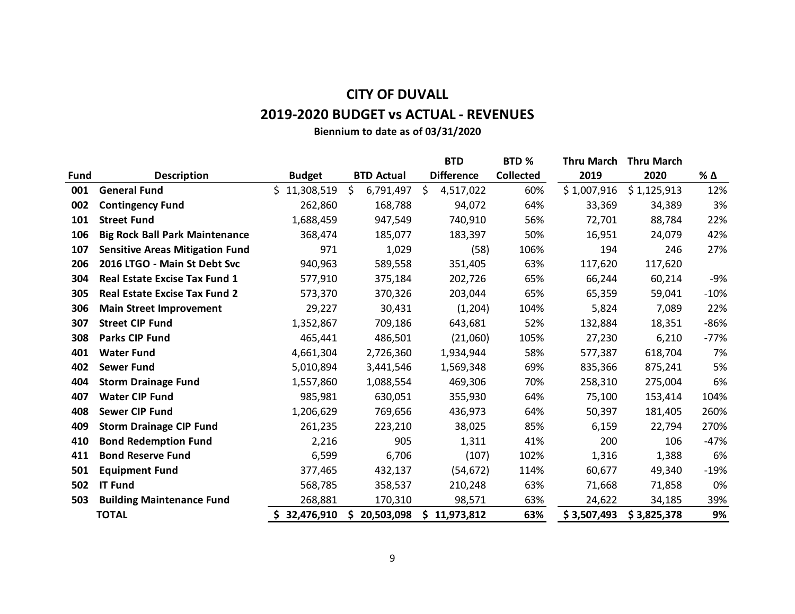# **CITY OF DUVALL**

## **2019-2020 BUDGET vs ACTUAL - REVENUES**

**Biennium to date as of 03/31/2020**

|             |                                        |                  |                   |     | <b>BTD</b>        | BTD <sub>%</sub> | <b>Thru March</b> | <b>Thru March</b> |        |
|-------------|----------------------------------------|------------------|-------------------|-----|-------------------|------------------|-------------------|-------------------|--------|
| <b>Fund</b> | <b>Description</b>                     | <b>Budget</b>    | <b>BTD Actual</b> |     | <b>Difference</b> | <b>Collected</b> | 2019              | 2020              | % Δ    |
| 001         | <b>General Fund</b>                    | Ś.<br>11,308,519 | \$<br>6,791,497   | \$  | 4,517,022         | 60%              | \$1,007,916       | \$1,125,913       | 12%    |
| 002         | <b>Contingency Fund</b>                | 262,860          | 168,788           |     | 94,072            | 64%              | 33,369            | 34,389            | 3%     |
| 101         | <b>Street Fund</b>                     | 1,688,459        | 947,549           |     | 740,910           | 56%              | 72,701            | 88,784            | 22%    |
| 106         | <b>Big Rock Ball Park Maintenance</b>  | 368,474          | 185,077           |     | 183,397           | 50%              | 16,951            | 24,079            | 42%    |
| 107         | <b>Sensitive Areas Mitigation Fund</b> | 971              | 1,029             |     | (58)              | 106%             | 194               | 246               | 27%    |
| 206         | 2016 LTGO - Main St Debt Svc           | 940,963          | 589,558           |     | 351,405           | 63%              | 117,620           | 117,620           |        |
| 304         | <b>Real Estate Excise Tax Fund 1</b>   | 577,910          | 375,184           |     | 202,726           | 65%              | 66,244            | 60,214            | -9%    |
| 305         | <b>Real Estate Excise Tax Fund 2</b>   | 573,370          | 370,326           |     | 203,044           | 65%              | 65,359            | 59,041            | $-10%$ |
| 306         | <b>Main Street Improvement</b>         | 29,227           | 30,431            |     | (1,204)           | 104%             | 5,824             | 7,089             | 22%    |
| 307         | <b>Street CIP Fund</b>                 | 1,352,867        | 709,186           |     | 643,681           | 52%              | 132,884           | 18,351            | $-86%$ |
| 308         | <b>Parks CIP Fund</b>                  | 465,441          | 486,501           |     | (21,060)          | 105%             | 27,230            | 6,210             | $-77%$ |
| 401         | <b>Water Fund</b>                      | 4,661,304        | 2,726,360         |     | 1,934,944         | 58%              | 577,387           | 618,704           | 7%     |
| 402         | <b>Sewer Fund</b>                      | 5,010,894        | 3,441,546         |     | 1,569,348         | 69%              | 835,366           | 875,241           | 5%     |
| 404         | <b>Storm Drainage Fund</b>             | 1,557,860        | 1,088,554         |     | 469,306           | 70%              | 258,310           | 275,004           | 6%     |
| 407         | <b>Water CIP Fund</b>                  | 985,981          | 630,051           |     | 355,930           | 64%              | 75,100            | 153,414           | 104%   |
| 408         | <b>Sewer CIP Fund</b>                  | 1,206,629        | 769,656           |     | 436,973           | 64%              | 50,397            | 181,405           | 260%   |
| 409         | <b>Storm Drainage CIP Fund</b>         | 261,235          | 223,210           |     | 38,025            | 85%              | 6,159             | 22,794            | 270%   |
| 410         | <b>Bond Redemption Fund</b>            | 2,216            | 905               |     | 1,311             | 41%              | 200               | 106               | $-47%$ |
| 411         | <b>Bond Reserve Fund</b>               | 6,599            | 6,706             |     | (107)             | 102%             | 1,316             | 1,388             | 6%     |
| 501         | <b>Equipment Fund</b>                  | 377,465          | 432,137           |     | (54, 672)         | 114%             | 60,677            | 49,340            | $-19%$ |
| 502         | <b>IT Fund</b>                         | 568,785          | 358,537           |     | 210,248           | 63%              | 71,668            | 71,858            | 0%     |
| 503         | <b>Building Maintenance Fund</b>       | 268,881          | 170,310           |     | 98,571            | 63%              | 24,622            | 34,185            | 39%    |
|             | <b>TOTAL</b>                           | 32,476,910       | \$20,503,098      | \$. | 11,973,812        | 63%              | \$3,507,493       | \$3,825,378       | 9%     |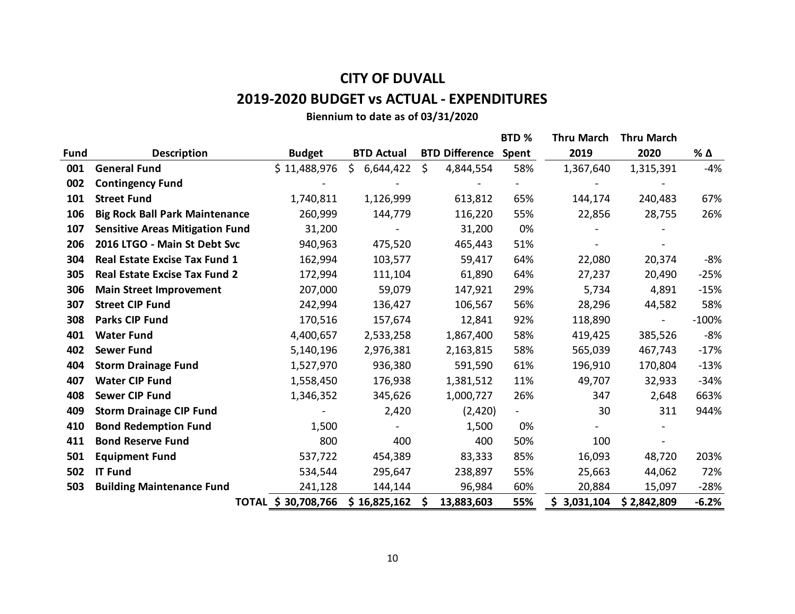# **CITY OF DUVALL 2019-2020 BUDGET vs ACTUAL - EXPENDITURES**

## **Biennium to date as of 03/31/2020**

|             |                                        |                     |                   |                       | BTD % | <b>Thru March</b> | <b>Thru March</b> |         |
|-------------|----------------------------------------|---------------------|-------------------|-----------------------|-------|-------------------|-------------------|---------|
| <b>Fund</b> | <b>Description</b>                     | <b>Budget</b>       | <b>BTD Actual</b> | <b>BTD Difference</b> | Spent | 2019              | 2020              | % Δ     |
| 001         | <b>General Fund</b>                    | \$11,488,976        | Ś.<br>6,644,422   | \$<br>4,844,554       | 58%   | 1,367,640         | 1,315,391         | $-4%$   |
| 002         | <b>Contingency Fund</b>                |                     |                   |                       |       |                   |                   |         |
| 101         | <b>Street Fund</b>                     | 1,740,811           | 1,126,999         | 613,812               | 65%   | 144,174           | 240,483           | 67%     |
| 106         | <b>Big Rock Ball Park Maintenance</b>  | 260,999             | 144,779           | 116,220               | 55%   | 22,856            | 28,755            | 26%     |
| 107         | <b>Sensitive Areas Mitigation Fund</b> | 31,200              |                   | 31,200                | 0%    |                   |                   |         |
| 206         | 2016 LTGO - Main St Debt Svc           | 940,963             | 475,520           | 465,443               | 51%   |                   |                   |         |
| 304         | <b>Real Estate Excise Tax Fund 1</b>   | 162,994             | 103,577           | 59,417                | 64%   | 22,080            | 20,374            | $-8%$   |
| 305         | <b>Real Estate Excise Tax Fund 2</b>   | 172,994             | 111,104           | 61,890                | 64%   | 27,237            | 20,490            | $-25%$  |
| 306         | <b>Main Street Improvement</b>         | 207,000             | 59,079            | 147,921               | 29%   | 5,734             | 4,891             | $-15%$  |
| 307         | <b>Street CIP Fund</b>                 | 242,994             | 136,427           | 106,567               | 56%   | 28,296            | 44,582            | 58%     |
| 308         | <b>Parks CIP Fund</b>                  | 170,516             | 157,674           | 12,841                | 92%   | 118,890           |                   | $-100%$ |
| 401         | <b>Water Fund</b>                      | 4,400,657           | 2,533,258         | 1,867,400             | 58%   | 419,425           | 385,526           | $-8%$   |
| 402         | <b>Sewer Fund</b>                      | 5,140,196           | 2,976,381         | 2,163,815             | 58%   | 565,039           | 467,743           | $-17%$  |
| 404         | <b>Storm Drainage Fund</b>             | 1,527,970           | 936,380           | 591,590               | 61%   | 196,910           | 170,804           | $-13%$  |
| 407         | <b>Water CIP Fund</b>                  | 1,558,450           | 176,938           | 1,381,512             | 11%   | 49,707            | 32,933            | $-34%$  |
| 408         | <b>Sewer CIP Fund</b>                  | 1,346,352           | 345,626           | 1,000,727             | 26%   | 347               | 2,648             | 663%    |
| 409         | <b>Storm Drainage CIP Fund</b>         |                     | 2,420             | (2,420)               |       | 30                | 311               | 944%    |
| 410         | <b>Bond Redemption Fund</b>            | 1,500               |                   | 1,500                 | 0%    |                   |                   |         |
| 411         | <b>Bond Reserve Fund</b>               | 800                 | 400               | 400                   | 50%   | 100               |                   |         |
| 501         | <b>Equipment Fund</b>                  | 537,722             | 454,389           | 83,333                | 85%   | 16,093            | 48,720            | 203%    |
| 502         | <b>IT Fund</b>                         | 534,544             | 295,647           | 238,897               | 55%   | 25,663            | 44,062            | 72%     |
| 503         | <b>Building Maintenance Fund</b>       | 241,128             | 144,144           | 96,984                | 60%   | 20,884            | 15,097            | $-28%$  |
|             |                                        | TOTAL \$ 30,708,766 | \$16,825,162      | 13,883,603<br>S       | 55%   | \$3,031,104       | \$2,842,809       | $-6.2%$ |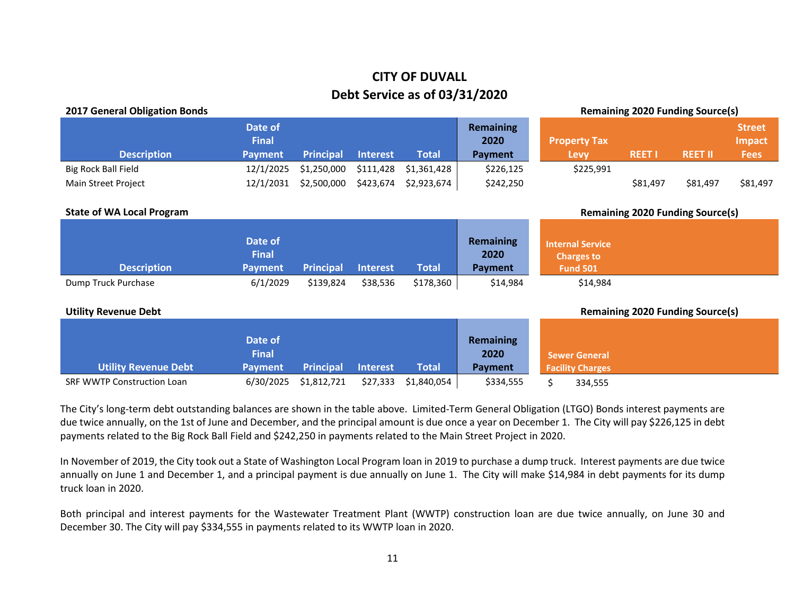## **CITY OF DUVALL Debt Service as of 03/31/2020**

| <b>Remaining 2020 Funding Source(s)</b><br><b>2017 General Obligation Bonds</b> |                         |                  |                 |              |                          |                                              |               |                                         |                                |
|---------------------------------------------------------------------------------|-------------------------|------------------|-----------------|--------------|--------------------------|----------------------------------------------|---------------|-----------------------------------------|--------------------------------|
|                                                                                 | Date of<br><b>Final</b> |                  |                 |              | <b>Remaining</b><br>2020 | <b>Property Tax</b>                          |               |                                         | <b>Street</b><br><b>Impact</b> |
| <b>Description</b>                                                              | <b>Payment</b>          | <b>Principal</b> | Interest        | <b>Total</b> | <b>Payment</b>           | Levy                                         | <b>REET I</b> | <b>REET II</b>                          | <b>Fees</b>                    |
| <b>Big Rock Ball Field</b>                                                      | 12/1/2025               | \$1,250,000      | \$111,428       | \$1,361,428  | \$226,125                | \$225,991                                    |               |                                         |                                |
| Main Street Project                                                             | 12/1/2031               | \$2,500,000      | \$423,674       | \$2,923,674  | \$242,250                |                                              | \$81,497      | \$81,497                                | \$81,497                       |
|                                                                                 |                         |                  |                 |              |                          |                                              |               |                                         |                                |
| <b>State of WA Local Program</b>                                                |                         |                  |                 |              |                          |                                              |               | <b>Remaining 2020 Funding Source(s)</b> |                                |
|                                                                                 |                         |                  |                 |              |                          |                                              |               |                                         |                                |
|                                                                                 | Date of<br><b>Final</b> |                  |                 |              | <b>Remaining</b><br>2020 | <b>Internal Service</b><br><b>Charges to</b> |               |                                         |                                |
| <b>Description</b>                                                              | <b>Payment</b>          | <b>Principal</b> | <b>Interest</b> | <b>Total</b> | Payment                  | <b>Fund 501</b>                              |               |                                         |                                |
| Dump Truck Purchase                                                             | 6/1/2029                | \$139,824        | \$38,536        | \$178,360    | \$14,984                 | \$14,984                                     |               |                                         |                                |
|                                                                                 |                         |                  |                 |              |                          |                                              |               |                                         |                                |
| <b>Utility Revenue Debt</b>                                                     |                         |                  |                 |              |                          |                                              |               | <b>Remaining 2020 Funding Source(s)</b> |                                |
|                                                                                 |                         |                  |                 |              |                          |                                              |               |                                         |                                |
|                                                                                 | Date of                 |                  |                 |              | <b>Remaining</b>         |                                              |               |                                         |                                |
|                                                                                 | <b>Final</b>            |                  |                 |              | 2020                     | <b>Sewer General</b>                         |               |                                         |                                |
| <b>Utility Revenue Debt</b>                                                     | <b>Payment</b>          | <b>Principal</b> | <b>Interest</b> | <b>Total</b> | <b>Payment</b>           | <b>Facility Charges</b>                      |               |                                         |                                |
| <b>SRF WWTP Construction Loan</b>                                               | 6/30/2025               | \$1,812,721      | \$27,333        | \$1,840,054  | \$334,555                | Ś.<br>334,555                                |               |                                         |                                |

The City's long-term debt outstanding balances are shown in the table above. Limited-Term General Obligation (LTGO) Bonds interest payments are due twice annually, on the 1st of June and December, and the principal amount is due once a year on December 1. The City will pay \$226,125 in debt payments related to the Big Rock Ball Field and \$242,250 in payments related to the Main Street Project in 2020.

In November of 2019, the City took out a State of Washington Local Program loan in 2019 to purchase a dump truck. Interest payments are due twice annually on June 1 and December 1, and a principal payment is due annually on June 1. The City will make \$14,984 in debt payments for its dump truck loan in 2020.

Both principal and interest payments for the Wastewater Treatment Plant (WWTP) construction loan are due twice annually, on June 30 and December 30. The City will pay \$334,555 in payments related to its WWTP loan in 2020.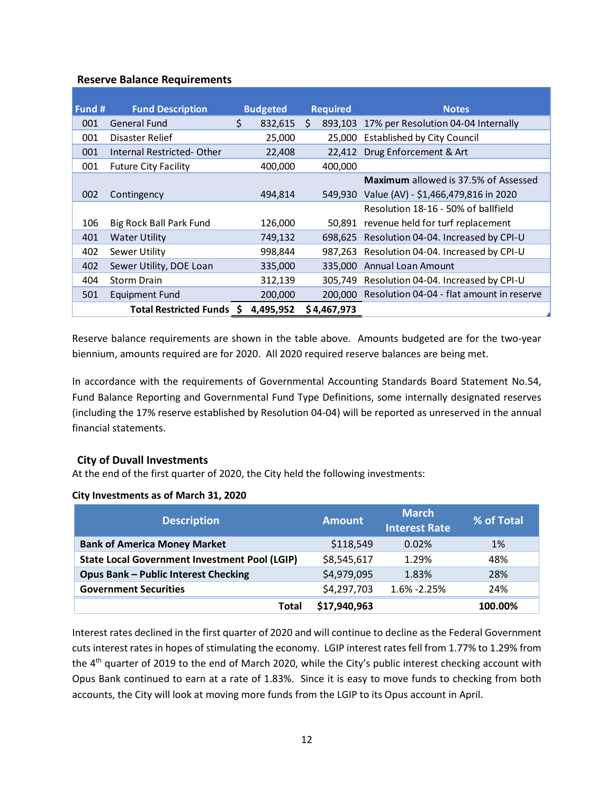### **Reserve Balance Requirements**

| <b>Fund Description</b><br>Fund # |                                   | <b>Budgeted</b> |           | <b>Required</b> | <b>Notes</b> |                                              |
|-----------------------------------|-----------------------------------|-----------------|-----------|-----------------|--------------|----------------------------------------------|
| 001                               | General Fund                      | \$              | 832,615   | S.              | 893,103      | 17% per Resolution 04-04 Internally          |
| 001                               | Disaster Relief                   |                 | 25,000    |                 | 25.000       | <b>Established by City Council</b>           |
| 001                               | <b>Internal Restricted- Other</b> |                 | 22,408    |                 |              | 22,412 Drug Enforcement & Art                |
| 001                               | <b>Future City Facility</b>       |                 | 400,000   |                 | 400.000      |                                              |
|                                   |                                   |                 |           |                 |              | <b>Maximum</b> allowed is 37.5% of Assessed  |
| 002                               | Contingency                       |                 | 494,814   |                 | 549.930      | Value (AV) - \$1,466,479,816 in 2020         |
|                                   |                                   |                 |           |                 |              | Resolution 18-16 - 50% of ballfield          |
| 106                               | <b>Big Rock Ball Park Fund</b>    |                 | 126,000   |                 | 50.891       | revenue held for turf replacement            |
| 401                               | <b>Water Utility</b>              |                 | 749,132   |                 | 698.625      | Resolution 04-04. Increased by CPI-U         |
| 402                               | Sewer Utility                     |                 | 998,844   |                 |              | 987,263 Resolution 04-04. Increased by CPI-U |
| 402                               | Sewer Utility, DOE Loan           |                 | 335,000   |                 | 335,000      | <b>Annual Loan Amount</b>                    |
| 404                               | <b>Storm Drain</b>                |                 | 312,139   |                 |              | 305,749 Resolution 04-04. Increased by CPI-U |
| 501                               | Equipment Fund                    |                 | 200,000   |                 | 200,000      | Resolution 04-04 - flat amount in reserve    |
|                                   | Total Restricted Funds \$         |                 | 4,495,952 |                 | \$4,467,973  |                                              |

Reserve balance requirements are shown in the table above. Amounts budgeted are for the two-year biennium, amounts required are for 2020. All 2020 required reserve balances are being met.

In accordance with the requirements of Governmental Accounting Standards Board Statement No.54, Fund Balance Reporting and Governmental Fund Type Definitions, some internally designated reserves (including the 17% reserve established by Resolution 04-04) will be reported as unreserved in the annual financial statements.

## **City of Duvall Investments**

At the end of the first quarter of 2020, the City held the following investments:

### **City Investments as of March 31, 2020**

| <b>Description</b>                                   | <b>Amount</b> | <b>March</b><br><b>Interest Rate</b> | % of Total |
|------------------------------------------------------|---------------|--------------------------------------|------------|
| <b>Bank of America Money Market</b>                  | \$118,549     | 0.02%                                | 1%         |
| <b>State Local Government Investment Pool (LGIP)</b> | \$8,545,617   | 1.29%                                | 48%        |
| <b>Opus Bank - Public Interest Checking</b>          | \$4,979,095   | 1.83%                                | 28%        |
| <b>Government Securities</b>                         | \$4,297,703   | 1.6% -2.25%                          | 24%        |
| Total                                                | \$17,940,963  |                                      | 100.00%    |

Interest rates declined in the first quarter of 2020 and will continue to decline as the Federal Government cuts interest rates in hopes of stimulating the economy. LGIP interest rates fell from 1.77% to 1.29% from the 4<sup>th</sup> quarter of 2019 to the end of March 2020, while the City's public interest checking account with Opus Bank continued to earn at a rate of 1.83%. Since it is easy to move funds to checking from both accounts, the City will look at moving more funds from the LGIP to its Opus account in April.